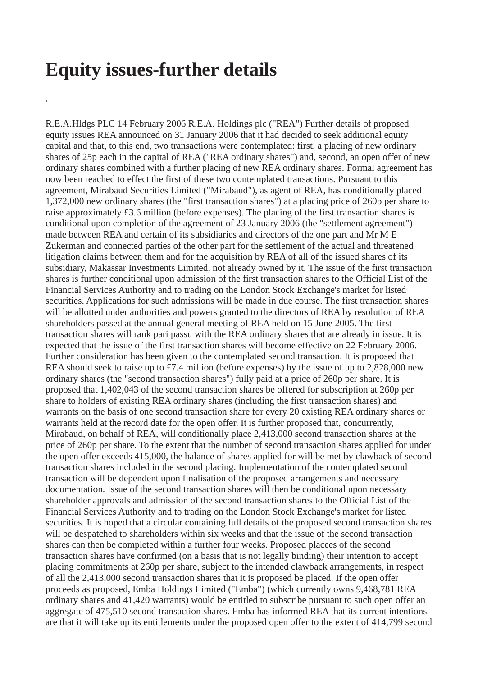## **Equity issues-further details**

**,**

R.E.A.Hldgs PLC 14 February 2006 R.E.A. Holdings plc ("REA") Further details of proposed equity issues REA announced on 31 January 2006 that it had decided to seek additional equity capital and that, to this end, two transactions were contemplated: first, a placing of new ordinary shares of 25p each in the capital of REA ("REA ordinary shares") and, second, an open offer of new ordinary shares combined with a further placing of new REA ordinary shares. Formal agreement has now been reached to effect the first of these two contemplated transactions. Pursuant to this agreement, Mirabaud Securities Limited ("Mirabaud"), as agent of REA, has conditionally placed 1,372,000 new ordinary shares (the "first transaction shares") at a placing price of 260p per share to raise approximately £3.6 million (before expenses). The placing of the first transaction shares is conditional upon completion of the agreement of 23 January 2006 (the "settlement agreement") made between REA and certain of its subsidiaries and directors of the one part and Mr M E Zukerman and connected parties of the other part for the settlement of the actual and threatened litigation claims between them and for the acquisition by REA of all of the issued shares of its subsidiary, Makassar Investments Limited, not already owned by it. The issue of the first transaction shares is further conditional upon admission of the first transaction shares to the Official List of the Financial Services Authority and to trading on the London Stock Exchange's market for listed securities. Applications for such admissions will be made in due course. The first transaction shares will be allotted under authorities and powers granted to the directors of REA by resolution of REA shareholders passed at the annual general meeting of REA held on 15 June 2005. The first transaction shares will rank pari passu with the REA ordinary shares that are already in issue. It is expected that the issue of the first transaction shares will become effective on 22 February 2006. Further consideration has been given to the contemplated second transaction. It is proposed that REA should seek to raise up to £7.4 million (before expenses) by the issue of up to 2,828,000 new ordinary shares (the "second transaction shares") fully paid at a price of 260p per share. It is proposed that 1,402,043 of the second transaction shares be offered for subscription at 260p per share to holders of existing REA ordinary shares (including the first transaction shares) and warrants on the basis of one second transaction share for every 20 existing REA ordinary shares or warrants held at the record date for the open offer. It is further proposed that, concurrently, Mirabaud, on behalf of REA, will conditionally place 2,413,000 second transaction shares at the price of 260p per share. To the extent that the number of second transaction shares applied for under the open offer exceeds 415,000, the balance of shares applied for will be met by clawback of second transaction shares included in the second placing. Implementation of the contemplated second transaction will be dependent upon finalisation of the proposed arrangements and necessary documentation. Issue of the second transaction shares will then be conditional upon necessary shareholder approvals and admission of the second transaction shares to the Official List of the Financial Services Authority and to trading on the London Stock Exchange's market for listed securities. It is hoped that a circular containing full details of the proposed second transaction shares will be despatched to shareholders within six weeks and that the issue of the second transaction shares can then be completed within a further four weeks. Proposed placees of the second transaction shares have confirmed (on a basis that is not legally binding) their intention to accept placing commitments at 260p per share, subject to the intended clawback arrangements, in respect of all the 2,413,000 second transaction shares that it is proposed be placed. If the open offer proceeds as proposed, Emba Holdings Limited ("Emba") (which currently owns 9,468,781 REA ordinary shares and 41,420 warrants) would be entitled to subscribe pursuant to such open offer an aggregate of 475,510 second transaction shares. Emba has informed REA that its current intentions are that it will take up its entitlements under the proposed open offer to the extent of 414,799 second